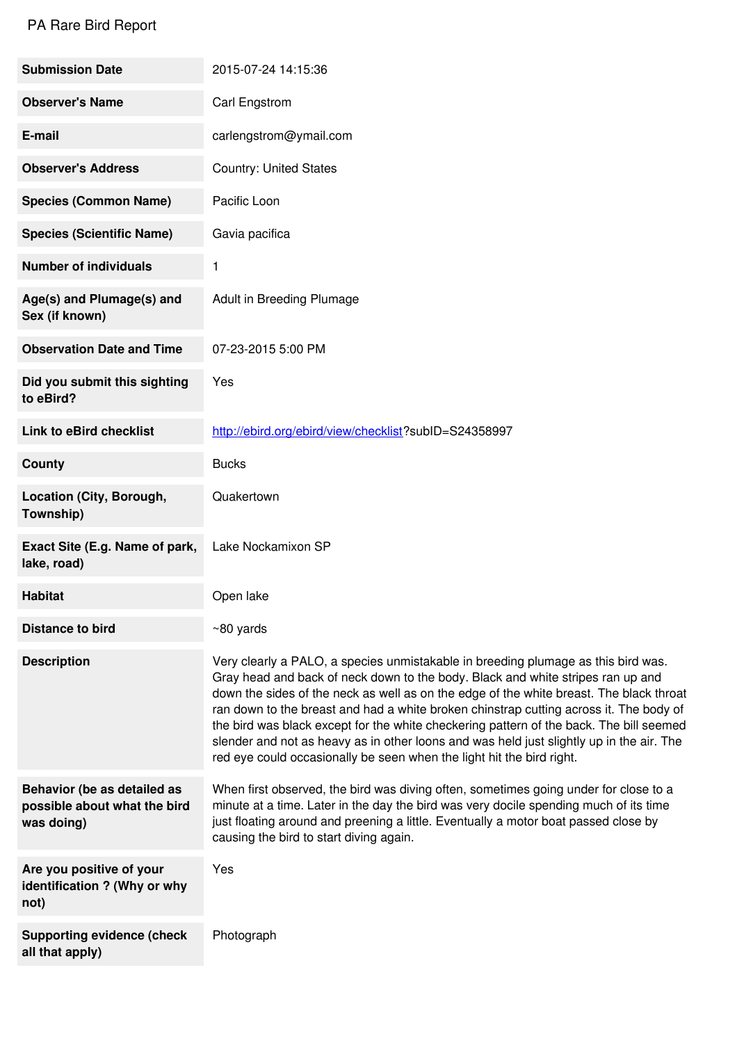## PA Rare Bird Report

| <b>Submission Date</b>                                                    | 2015-07-24 14:15:36                                                                                                                                                                                                                                                                                                                                                                                                                                                                                                                                                                                                       |
|---------------------------------------------------------------------------|---------------------------------------------------------------------------------------------------------------------------------------------------------------------------------------------------------------------------------------------------------------------------------------------------------------------------------------------------------------------------------------------------------------------------------------------------------------------------------------------------------------------------------------------------------------------------------------------------------------------------|
| <b>Observer's Name</b>                                                    | Carl Engstrom                                                                                                                                                                                                                                                                                                                                                                                                                                                                                                                                                                                                             |
| E-mail                                                                    | carlengstrom@ymail.com                                                                                                                                                                                                                                                                                                                                                                                                                                                                                                                                                                                                    |
| <b>Observer's Address</b>                                                 | <b>Country: United States</b>                                                                                                                                                                                                                                                                                                                                                                                                                                                                                                                                                                                             |
| <b>Species (Common Name)</b>                                              | Pacific Loon                                                                                                                                                                                                                                                                                                                                                                                                                                                                                                                                                                                                              |
| <b>Species (Scientific Name)</b>                                          | Gavia pacifica                                                                                                                                                                                                                                                                                                                                                                                                                                                                                                                                                                                                            |
| <b>Number of individuals</b>                                              | 1                                                                                                                                                                                                                                                                                                                                                                                                                                                                                                                                                                                                                         |
| Age(s) and Plumage(s) and<br>Sex (if known)                               | Adult in Breeding Plumage                                                                                                                                                                                                                                                                                                                                                                                                                                                                                                                                                                                                 |
| <b>Observation Date and Time</b>                                          | 07-23-2015 5:00 PM                                                                                                                                                                                                                                                                                                                                                                                                                                                                                                                                                                                                        |
| Did you submit this sighting<br>to eBird?                                 | Yes                                                                                                                                                                                                                                                                                                                                                                                                                                                                                                                                                                                                                       |
| <b>Link to eBird checklist</b>                                            | http://ebird.org/ebird/view/checklist?subID=S24358997                                                                                                                                                                                                                                                                                                                                                                                                                                                                                                                                                                     |
| <b>County</b>                                                             | <b>Bucks</b>                                                                                                                                                                                                                                                                                                                                                                                                                                                                                                                                                                                                              |
| Location (City, Borough,<br>Township)                                     | Quakertown                                                                                                                                                                                                                                                                                                                                                                                                                                                                                                                                                                                                                |
| Exact Site (E.g. Name of park,<br>lake, road)                             | Lake Nockamixon SP                                                                                                                                                                                                                                                                                                                                                                                                                                                                                                                                                                                                        |
| <b>Habitat</b>                                                            | Open lake                                                                                                                                                                                                                                                                                                                                                                                                                                                                                                                                                                                                                 |
| <b>Distance to bird</b>                                                   | $~80$ yards                                                                                                                                                                                                                                                                                                                                                                                                                                                                                                                                                                                                               |
| <b>Description</b>                                                        | Very clearly a PALO, a species unmistakable in breeding plumage as this bird was.<br>Gray head and back of neck down to the body. Black and white stripes ran up and<br>down the sides of the neck as well as on the edge of the white breast. The black throat<br>ran down to the breast and had a white broken chinstrap cutting across it. The body of<br>the bird was black except for the white checkering pattern of the back. The bill seemed<br>slender and not as heavy as in other loons and was held just slightly up in the air. The<br>red eye could occasionally be seen when the light hit the bird right. |
| Behavior (be as detailed as<br>possible about what the bird<br>was doing) | When first observed, the bird was diving often, sometimes going under for close to a<br>minute at a time. Later in the day the bird was very docile spending much of its time<br>just floating around and preening a little. Eventually a motor boat passed close by<br>causing the bird to start diving again.                                                                                                                                                                                                                                                                                                           |
| Are you positive of your<br>identification ? (Why or why<br>not)          | Yes                                                                                                                                                                                                                                                                                                                                                                                                                                                                                                                                                                                                                       |
| <b>Supporting evidence (check</b><br>all that apply)                      | Photograph                                                                                                                                                                                                                                                                                                                                                                                                                                                                                                                                                                                                                |